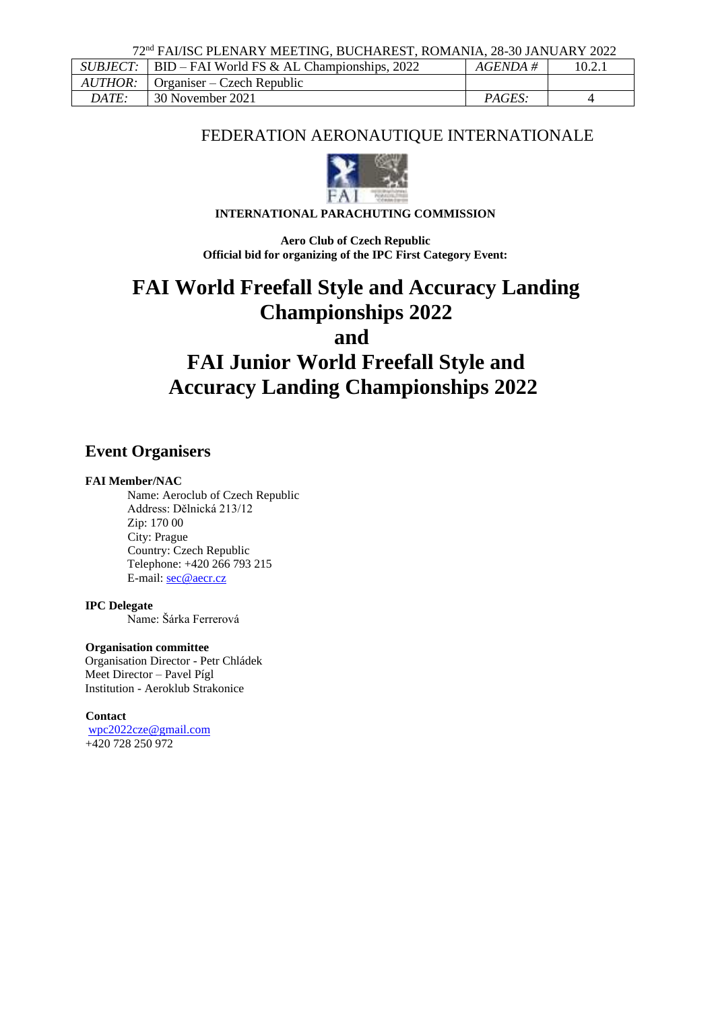72nd FAI/ISC PLENARY MEETING, BUCHAREST, ROMANIA, 28-30 JANUARY 2022

|                | $SUBJECT:$ BID – FAI World FS & AL Championships, 2022 | $AGENDA \#$ |  |
|----------------|--------------------------------------------------------|-------------|--|
| <i>AUTHOR:</i> | $Organiser - Czech Republic$                           |             |  |
| <b>DATE:</b>   | 30 November 2021                                       | PAGES:      |  |

## FEDERATION AERONAUTIQUE INTERNATIONALE



## **INTERNATIONAL PARACHUTING COMMISSION**

**Aero Club of Czech Republic Official bid for organizing of the IPC First Category Event:**

# **FAI World Freefall Style and Accuracy Landing Championships 2022 and FAI Junior World Freefall Style and Accuracy Landing Championships 2022**

## **Event Organisers**

#### **FAI Member/NAC**

Name: Aeroclub of Czech Republic Address: Dělnická 213/12 Zip: 170 00 City: Prague Country: Czech Republic Telephone: +420 266 793 215 E-mail[: sec@aecr.cz](mailto:sec@aecr.cz)

## **IPC Delegate**

Name: Šárka Ferrerová

#### **Organisation committee**

Organisation Director - Petr Chládek Meet Director – Pavel Pígl Institution - Aeroklub Strakonice

## **Contact**

[wpc2022cze@gmail.com](mailto:wpc2022cze@gmail.com) +420 728 250 972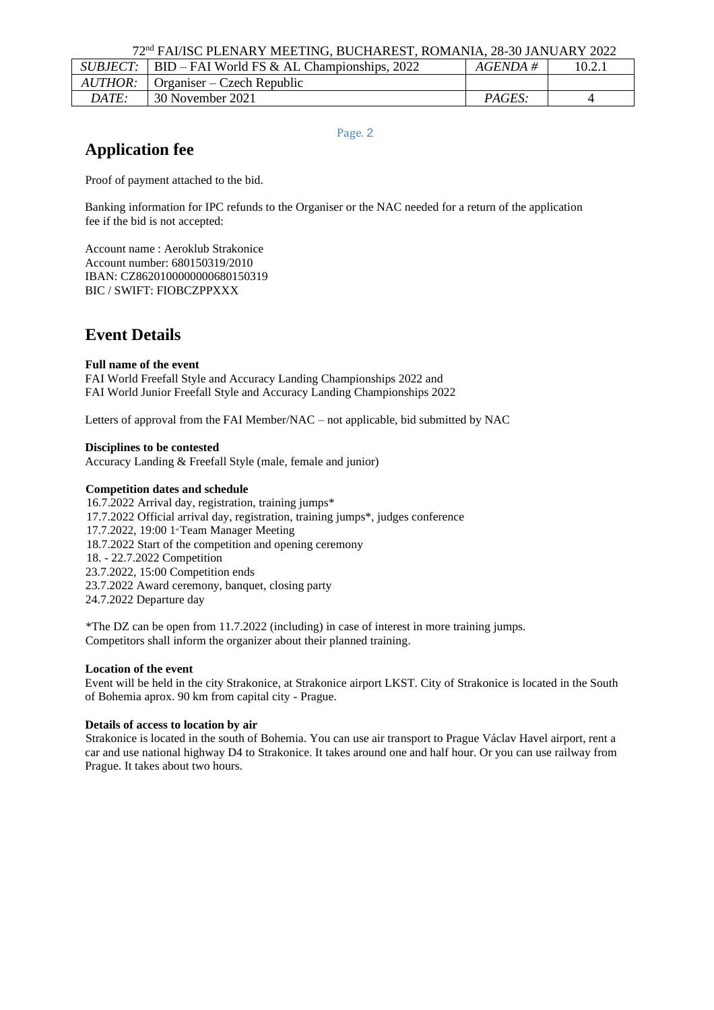|         | $SUBJECT:   BID - FAI World FS & A L.$ | AGENDA #      | 10.2.1 |
|---------|----------------------------------------|---------------|--------|
| AUTHOR: | $\Box$ Organiser – Czech Republic      |               |        |
| DATE:   | 30 November 2021                       | <i>PAGES:</i> |        |

Page. 2

## **Application fee**

Proof of payment attached to the bid.

Banking information for IPC refunds to the Organiser or the NAC needed for a return of the application fee if the bid is not accepted:

Account name : Aeroklub Strakonice Account number: 680150319/2010 IBAN: CZ8620100000000680150319 BIC / SWIFT: FIOBCZPPXXX

## **Event Details**

## **Full name of the event**

FAI World Freefall Style and Accuracy Landing Championships 2022 and FAI World Junior Freefall Style and Accuracy Landing Championships 2022

Letters of approval from the FAI Member/NAC – not applicable, bid submitted by NAC

#### **Disciplines to be contested**

Accuracy Landing & Freefall Style (male, female and junior)

#### **Competition dates and schedule**

16.7.2022 Arrival day, registration, training jumps\* 17.7.2022 Official arrival day, registration, training jumps\*, judges conference 17.7.2022, 19:00 1<sup>st</sup> Team Manager Meeting 18.7.2022 Start of the competition and opening ceremony 18. - 22.7.2022 Competition 23.7.2022, 15:00 Competition ends 23.7.2022 Award ceremony, banquet, closing party 24.7.2022 Departure day

\*The DZ can be open from 11.7.2022 (including) in case of interest in more training jumps. Competitors shall inform the organizer about their planned training.

#### **Location of the event**

Event will be held in the city Strakonice, at Strakonice airport LKST. City of Strakonice is located in the South of Bohemia aprox. 90 km from capital city - Prague.

#### **Details of access to location by air**

Strakonice is located in the south of Bohemia. You can use air transport to Prague Václav Havel airport, rent a car and use national highway D4 to Strakonice. It takes around one and half hour. Or you can use railway from Prague. It takes about two hours.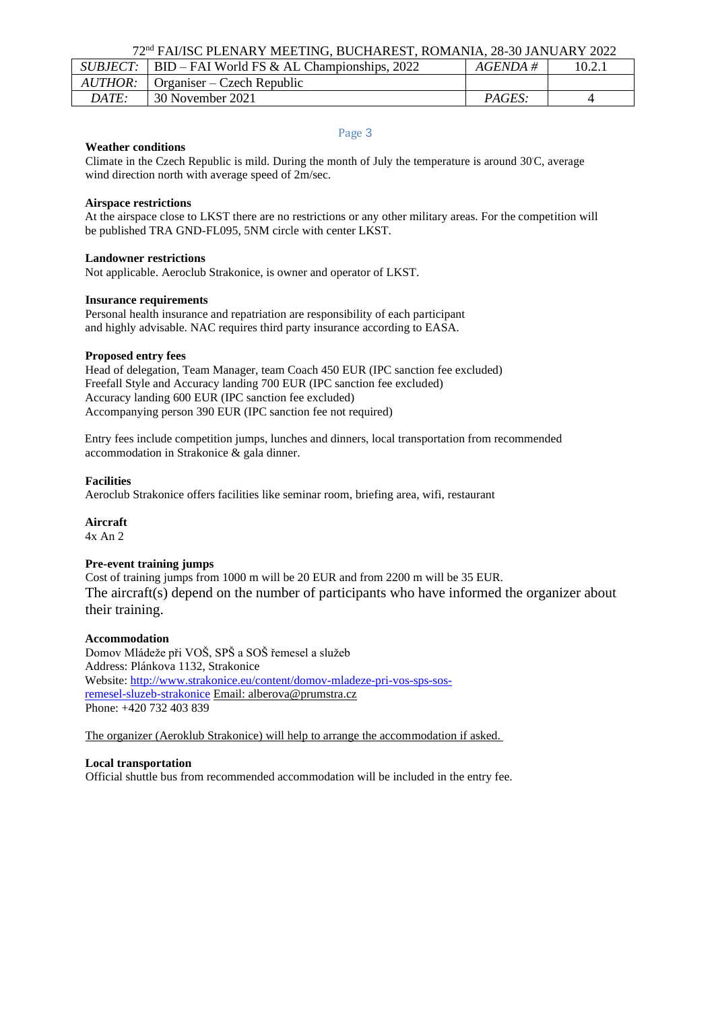72nd FAI/ISC PLENARY MEETING, BUCHAREST, ROMANIA, 28-30 JANUARY 2022

| <i>SUBJECT:</i> | BID – FAI World FS & AL Championships, 2022 | $AGENDA \#$   | 10.2.1 |  |
|-----------------|---------------------------------------------|---------------|--------|--|
| AUTHOR:         | l Organiser – Czech Republic                |               |        |  |
| DATE:           | 30 November 2021                            | <i>PAGES:</i> |        |  |

#### Page 3

#### **Weather conditions**

Climate in the Czech Republic is mild. During the month of July the temperature is around 30°C, average wind direction north with average speed of 2m/sec.

#### **Airspace restrictions**

At the airspace close to LKST there are no restrictions or any other military areas. For the competition will be published TRA GND-FL095, 5NM circle with center LKST.

#### **Landowner restrictions**

Not applicable. Aeroclub Strakonice, is owner and operator of LKST.

#### **Insurance requirements**

Personal health insurance and repatriation are responsibility of each participant and highly advisable. NAC requires third party insurance according to EASA.

#### **Proposed entry fees**

Head of delegation, Team Manager, team Coach 450 EUR (IPC sanction fee excluded) Freefall Style and Accuracy landing 700 EUR (IPC sanction fee excluded) Accuracy landing 600 EUR (IPC sanction fee excluded) Accompanying person 390 EUR (IPC sanction fee not required)

Entry fees include competition jumps, lunches and dinners, local transportation from recommended accommodation in Strakonice & gala dinner.

#### **Facilities**

Aeroclub Strakonice offers facilities like seminar room, briefing area, wifi, restaurant

## **Aircraft**

4x An 2

#### **Pre-event training jumps**

Cost of training jumps from 1000 m will be 20 EUR and from 2200 m will be 35 EUR. The aircraft(s) depend on the number of participants who have informed the organizer about their training.

#### **Accommodation**

Domov Mládeže při VOŠ, SPŠ a SOŠ řemesel a služeb Address: Plánkova 1132, Strakonice Website: [http://www.strakonice.eu/content/domov-mladeze-pri-vos-sps-sos](http://www.strakonice.eu/content/domov-mladeze-pri-vos-sps-sos-)remesel-sluzeb-strakonice [Email: alberova@prumstra.cz](mailto:alberova@prumstra.cz) Phone: +420 732 403 839

The organizer (Aeroklub Strakonice) will help to arrange the accommodation if asked.

#### **Local transportation**

Official shuttle bus from recommended accommodation will be included in the entry fee.